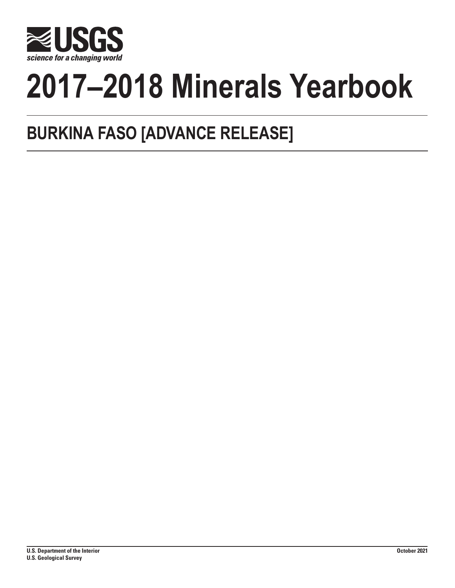

# **2017–2018 Minerals Yearbook**

## **BURKINA FASO [ADVANCE RELEASE]**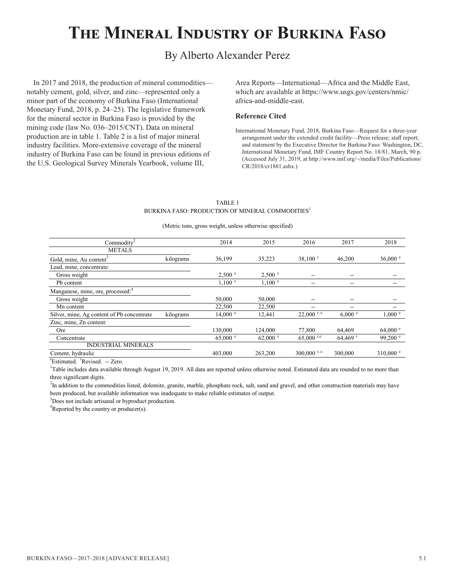## **The Mineral Industry of Burkina Faso**

### By Alberto Alexander Perez

In 2017 and 2018, the production of mineral commodities notably cement, gold, silver, and zinc—represented only a minor part of the economy of Burkina Faso (International Monetary Fund, 2018, p. 24–25). The legislative framework for the mineral sector in Burkina Faso is provided by the mining code (law No. 036–2015/CNT). Data on mineral production are in table 1. Table 2 is a list of major mineral industry facilities. More-extensive coverage of the mineral industry of Burkina Faso can be found in previous editions of the U.S. Geological Survey Minerals Yearbook, volume III,

Area Reports—International—Africa and the Middle East, which are available at https://www.usgs.gov/centers/nmic/ africa-and-middle-east.

#### **Reference Cited**

International Monetary Fund, 2018, Burkina Faso—Request for a three-year arrangement under the extended credit facility—Press release; staff report; and statement by the Executive Director for Burkina Faso: Washington, DC, International Monetary Fund, IMF Country Report No. 18/81, March, 90 p. (Accessed July 31, 2019, at http://www.imf.org/~/media/Files/Publications/ CR/2018/cr1881.ashx.)

#### TABLE 1 BURKINA FASO: PRODUCTION OF MINERAL COMMODITIES<sup>1</sup>

(Metric tons, gross weight, unless otherwise specified)

| Commodity <sup>2</sup>                        |           | 2014               | 2015               | 2016                  | 2017                  | 2018              |
|-----------------------------------------------|-----------|--------------------|--------------------|-----------------------|-----------------------|-------------------|
| <b>METALS</b>                                 |           |                    |                    |                       |                       |                   |
| Gold, mine, Au content <sup>3</sup>           | kilograms | 36,199             | 35,223             | $38,100$ <sup>r</sup> | 46,200                | 36,000 $^{\circ}$ |
| Lead, mine, concentrate:                      |           |                    |                    |                       |                       |                   |
| Gross weight                                  |           | 2,500 °            | 2,500 °            | $- -$                 | --                    |                   |
| P <sub>b</sub> content                        |           | $1,100$ $e$        | 1,100 °            | --                    | --                    |                   |
| Manganese, mine, ore, processed: <sup>4</sup> |           |                    |                    |                       |                       |                   |
| Gross weight                                  |           | 50,000             | 50,000             | --                    | --                    | --                |
| Mn content                                    |           | 22,500             | 22,500             | --                    | --                    | --                |
| Silver, mine, Ag content of Pb concentrate    | kilograms | $14,000$ $\degree$ | 12,441             | $22,000$ r, e         | 6,000 °               | $1,000$ $e$       |
| Zinc, mine, Zn content:                       |           |                    |                    |                       |                       |                   |
| Ore                                           |           | 130,000            | 124,000            | 77,800                | 64.469                | 64,000 $^{\circ}$ |
| Concentrate                                   |           | $65,000$ $\degree$ | $62,000$ $\degree$ | $65,000$ r,e          | $64,469$ <sup>r</sup> | 99,200 $^{\circ}$ |
| <b>INDUSTRIAL MINERALS</b>                    |           |                    |                    |                       |                       |                   |
| Cement, hydraulic                             |           | 403,000            | 263,200            | 300,000 r, e          | 300,000               | $310,000$ e       |

<sup>e</sup>Estimated. <sup>r</sup>Revised. -- Zero.

<sup>1</sup>Table includes data available through August 19, 2019. All data are reported unless otherwise noted. Estimated data are rounded to no more than three significant digits.

<sup>2</sup>In addition to the commodities listed, dolomite, granite, marble, phosphate rock, salt, sand and gravel, and other construction materials may have been produced, but available information was inadequate to make reliable estimates of output.

<sup>3</sup>Does not include artisanal or byproduct production.

 ${}^{4}$ Reported by the country or producer(s).